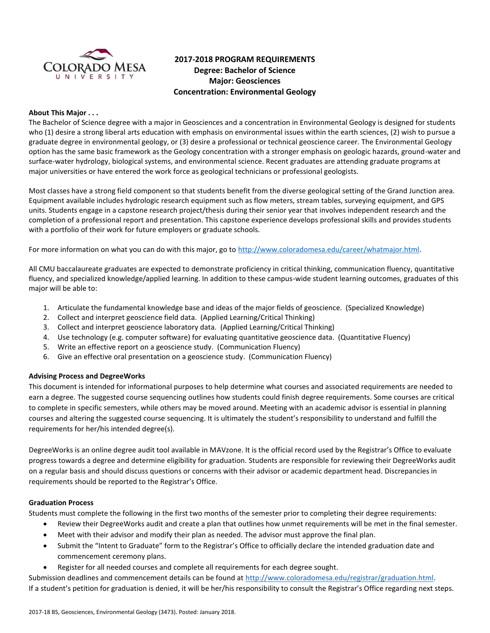

# **2017-2018 PROGRAM REQUIREMENTS Degree: Bachelor of Science Major: Geosciences Concentration: Environmental Geology**

#### **About This Major . . .**

The Bachelor of Science degree with a major in Geosciences and a concentration in Environmental Geology is designed for students who (1) desire a strong liberal arts education with emphasis on environmental issues within the earth sciences, (2) wish to pursue a graduate degree in environmental geology, or (3) desire a professional or technical geoscience career. The Environmental Geology option has the same basic framework as the Geology concentration with a stronger emphasis on geologic hazards, ground-water and surface-water hydrology, biological systems, and environmental science. Recent graduates are attending graduate programs at major universities or have entered the work force as geological technicians or professional geologists.

Most classes have a strong field component so that students benefit from the diverse geological setting of the Grand Junction area. Equipment available includes hydrologic research equipment such as flow meters, stream tables, surveying equipment, and GPS units. Students engage in a capstone research project/thesis during their senior year that involves independent research and the completion of a professional report and presentation. This capstone experience develops professional skills and provides students with a portfolio of their work for future employers or graduate schools.

For more information on what you can do with this major, go to [http://www.coloradomesa.edu/career/whatmajor.html.](http://www.coloradomesa.edu/career/whatmajor.html)

All CMU baccalaureate graduates are expected to demonstrate proficiency in critical thinking, communication fluency, quantitative fluency, and specialized knowledge/applied learning. In addition to these campus-wide student learning outcomes, graduates of this major will be able to:

- 1. Articulate the fundamental knowledge base and ideas of the major fields of geoscience. (Specialized Knowledge)
- 2. Collect and interpret geoscience field data. (Applied Learning/Critical Thinking)
- 3. Collect and interpret geoscience laboratory data. (Applied Learning/Critical Thinking)
- 4. Use technology (e.g. computer software) for evaluating quantitative geoscience data. (Quantitative Fluency)
- 5. Write an effective report on a geoscience study. (Communication Fluency)
- 6. Give an effective oral presentation on a geoscience study. (Communication Fluency)

#### **Advising Process and DegreeWorks**

This document is intended for informational purposes to help determine what courses and associated requirements are needed to earn a degree. The suggested course sequencing outlines how students could finish degree requirements. Some courses are critical to complete in specific semesters, while others may be moved around. Meeting with an academic advisor is essential in planning courses and altering the suggested course sequencing. It is ultimately the student's responsibility to understand and fulfill the requirements for her/his intended degree(s).

DegreeWorks is an online degree audit tool available in MAVzone. It is the official record used by the Registrar's Office to evaluate progress towards a degree and determine eligibility for graduation. Students are responsible for reviewing their DegreeWorks audit on a regular basis and should discuss questions or concerns with their advisor or academic department head. Discrepancies in requirements should be reported to the Registrar's Office.

#### **Graduation Process**

Students must complete the following in the first two months of the semester prior to completing their degree requirements:

- Review their DegreeWorks audit and create a plan that outlines how unmet requirements will be met in the final semester.
- Meet with their advisor and modify their plan as needed. The advisor must approve the final plan.
- Submit the "Intent to Graduate" form to the Registrar's Office to officially declare the intended graduation date and commencement ceremony plans.
- Register for all needed courses and complete all requirements for each degree sought.

Submission deadlines and commencement details can be found at [http://www.coloradomesa.edu/registrar/graduation.html.](http://www.coloradomesa.edu/registrar/graduation.html) If a student's petition for graduation is denied, it will be her/his responsibility to consult the Registrar's Office regarding next steps.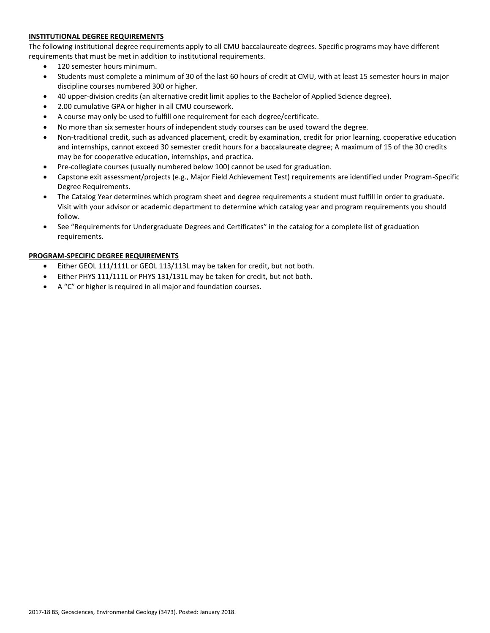# **INSTITUTIONAL DEGREE REQUIREMENTS**

The following institutional degree requirements apply to all CMU baccalaureate degrees. Specific programs may have different requirements that must be met in addition to institutional requirements.

- 120 semester hours minimum.
- Students must complete a minimum of 30 of the last 60 hours of credit at CMU, with at least 15 semester hours in major discipline courses numbered 300 or higher.
- 40 upper-division credits (an alternative credit limit applies to the Bachelor of Applied Science degree).
- 2.00 cumulative GPA or higher in all CMU coursework.
- A course may only be used to fulfill one requirement for each degree/certificate.
- No more than six semester hours of independent study courses can be used toward the degree.
- Non-traditional credit, such as advanced placement, credit by examination, credit for prior learning, cooperative education and internships, cannot exceed 30 semester credit hours for a baccalaureate degree; A maximum of 15 of the 30 credits may be for cooperative education, internships, and practica.
- Pre-collegiate courses (usually numbered below 100) cannot be used for graduation.
- Capstone exit assessment/projects (e.g., Major Field Achievement Test) requirements are identified under Program-Specific Degree Requirements.
- The Catalog Year determines which program sheet and degree requirements a student must fulfill in order to graduate. Visit with your advisor or academic department to determine which catalog year and program requirements you should follow.
- See "Requirements for Undergraduate Degrees and Certificates" in the catalog for a complete list of graduation requirements.

# **PROGRAM-SPECIFIC DEGREE REQUIREMENTS**

- Either GEOL 111/111L or GEOL 113/113L may be taken for credit, but not both.
- Either PHYS 111/111L or PHYS 131/131L may be taken for credit, but not both.
- A "C" or higher is required in all major and foundation courses.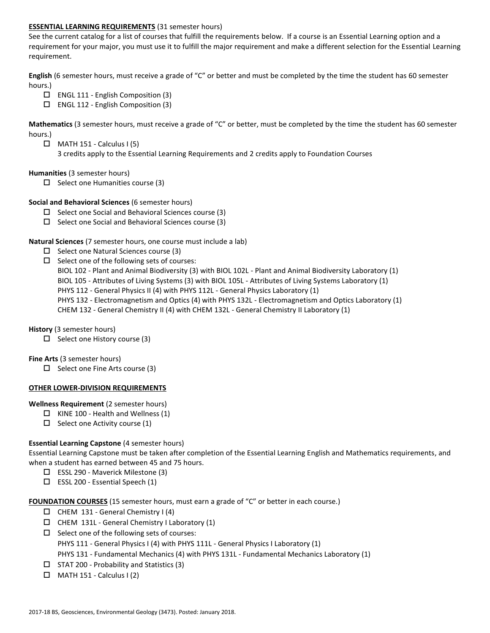#### **ESSENTIAL LEARNING REQUIREMENTS** (31 semester hours)

See the current catalog for a list of courses that fulfill the requirements below. If a course is an Essential Learning option and a requirement for your major, you must use it to fulfill the major requirement and make a different selection for the Essential Learning requirement.

**English** (6 semester hours, must receive a grade of "C" or better and must be completed by the time the student has 60 semester hours.)

- $\Box$  ENGL 111 English Composition (3)
- $\Box$  ENGL 112 English Composition (3)

**Mathematics** (3 semester hours, must receive a grade of "C" or better, must be completed by the time the student has 60 semester hours.)

- $\Box$  MATH 151 Calculus I (5)
	- 3 credits apply to the Essential Learning Requirements and 2 credits apply to Foundation Courses

#### **Humanities** (3 semester hours)

 $\Box$  Select one Humanities course (3)

#### **Social and Behavioral Sciences** (6 semester hours)

- $\Box$  Select one Social and Behavioral Sciences course (3)
- $\Box$  Select one Social and Behavioral Sciences course (3)

#### **Natural Sciences** (7 semester hours, one course must include a lab)

- $\Box$  Select one Natural Sciences course (3)
- $\Box$  Select one of the following sets of courses:

BIOL 102 - Plant and Animal Biodiversity (3) with BIOL 102L - Plant and Animal Biodiversity Laboratory (1)

- BIOL 105 Attributes of Living Systems (3) with BIOL 105L Attributes of Living Systems Laboratory (1)
- PHYS 112 General Physics II (4) with PHYS 112L General Physics Laboratory (1)
- PHYS 132 Electromagnetism and Optics (4) with PHYS 132L Electromagnetism and Optics Laboratory (1)

CHEM 132 - General Chemistry II (4) with CHEM 132L - General Chemistry II Laboratory (1)

# **History** (3 semester hours)

 $\Box$  Select one History course (3)

#### **Fine Arts** (3 semester hours)

 $\Box$  Select one Fine Arts course (3)

# **OTHER LOWER-DIVISION REQUIREMENTS**

#### **Wellness Requirement** (2 semester hours)

- $\Box$  KINE 100 Health and Wellness (1)
- $\Box$  Select one Activity course (1)

# **Essential Learning Capstone** (4 semester hours)

Essential Learning Capstone must be taken after completion of the Essential Learning English and Mathematics requirements, and when a student has earned between 45 and 75 hours.

- ESSL 290 Maverick Milestone (3)
- $\square$  ESSL 200 Essential Speech (1)

#### **FOUNDATION COURSES** (15 semester hours, must earn a grade of "C" or better in each course.)

- $\Box$  CHEM 131 General Chemistry I (4)
- $\Box$  CHEM 131L General Chemistry I Laboratory (1)
- $\square$  Select one of the following sets of courses: PHYS 111 - General Physics I (4) with PHYS 111L - General Physics I Laboratory (1) PHYS 131 - Fundamental Mechanics (4) with PHYS 131L - Fundamental Mechanics Laboratory (1)
- $\Box$  STAT 200 Probability and Statistics (3)
- $\Box$  MATH 151 Calculus I (2)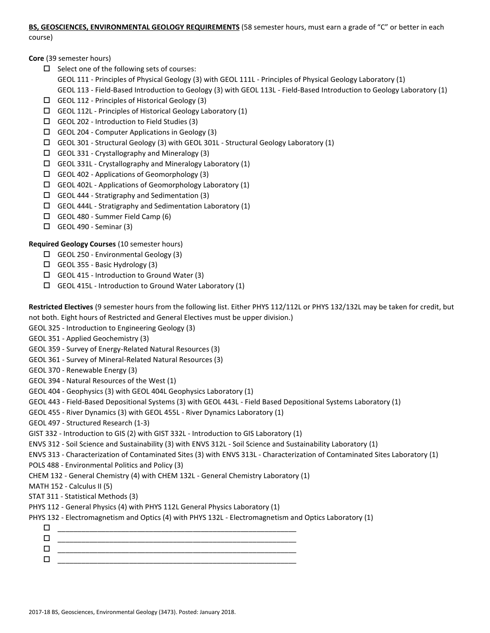#### **BS, GEOSCIENCES, ENVIRONMENTAL GEOLOGY REQUIREMENTS** (58 semester hours, must earn a grade of "C" or better in each

course)

**Core** (39 semester hours)

- $\square$  Select one of the following sets of courses:
	- GEOL 111 Principles of Physical Geology (3) with GEOL 111L Principles of Physical Geology Laboratory (1)
	- GEOL 113 Field-Based Introduction to Geology (3) with GEOL 113L Field-Based Introduction to Geology Laboratory (1)
- GEOL 112 Principles of Historical Geology (3)
- $\Box$  GEOL 112L Principles of Historical Geology Laboratory (1)
- GEOL 202 Introduction to Field Studies (3)
- GEOL 204 Computer Applications in Geology (3)
- GEOL 301 Structural Geology (3) with GEOL 301L Structural Geology Laboratory (1)
- GEOL 331 Crystallography and Mineralogy (3)
- $\Box$  GEOL 331L Crystallography and Mineralogy Laboratory (1)
- GEOL 402 Applications of Geomorphology (3)
- GEOL 402L Applications of Geomorphology Laboratory (1)
- $\Box$  GEOL 444 Stratigraphy and Sedimentation (3)
- $\Box$  GEOL 444L Stratigraphy and Sedimentation Laboratory (1)
- GEOL 480 Summer Field Camp (6)
- $\square$  GEOL 490 Seminar (3)

# **Required Geology Courses** (10 semester hours)

- GEOL 250 Environmental Geology (3)
- GEOL 355 Basic Hydrology (3)
- GEOL 415 Introduction to Ground Water (3)
- GEOL 415L Introduction to Ground Water Laboratory (1)

**Restricted Electives** (9 semester hours from the following list. Either PHYS 112/112L or PHYS 132/132L may be taken for credit, but not both. Eight hours of Restricted and General Electives must be upper division.)

- GEOL 325 Introduction to Engineering Geology (3)
- GEOL 351 Applied Geochemistry (3)
- GEOL 359 Survey of Energy-Related Natural Resources (3)
- GEOL 361 Survey of Mineral-Related Natural Resources (3)
- GEOL 370 Renewable Energy (3)
- GEOL 394 Natural Resources of the West (1)
- GEOL 404 Geophysics (3) with GEOL 404L Geophysics Laboratory (1)
- GEOL 443 Field-Based Depositional Systems (3) with GEOL 443L Field Based Depositional Systems Laboratory (1)
- GEOL 455 River Dynamics (3) with GEOL 455L River Dynamics Laboratory (1)
- GEOL 497 Structured Research (1-3)
- GIST 332 Introduction to GIS (2) with GIST 332L Introduction to GIS Laboratory (1)
- ENVS 312 Soil Science and Sustainability (3) with ENVS 312L Soil Science and Sustainability Laboratory (1)
- ENVS 313 Characterization of Contaminated Sites (3) with ENVS 313L Characterization of Contaminated Sites Laboratory (1)
- POLS 488 Environmental Politics and Policy (3)
- CHEM 132 General Chemistry (4) with CHEM 132L General Chemistry Laboratory (1)
- MATH 152 Calculus II (5)
- STAT 311 Statistical Methods (3)
- PHYS 112 General Physics (4) with PHYS 112L General Physics Laboratory (1)
- PHYS 132 Electromagnetism and Optics (4) with PHYS 132L Electromagnetism and Optics Laboratory (1)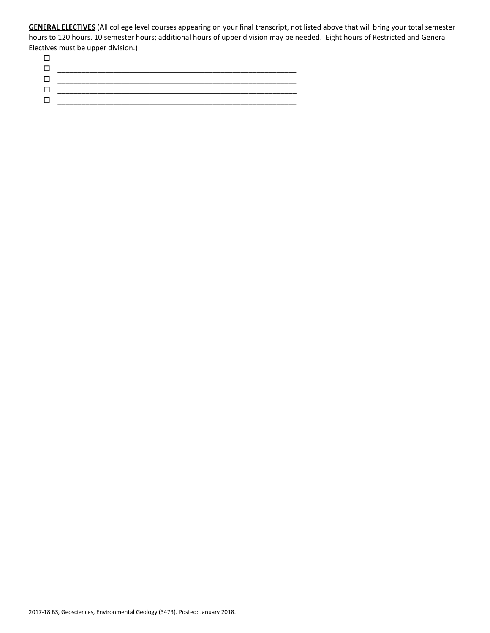**GENERAL ELECTIVES** (All college level courses appearing on your final transcript, not listed above that will bring your total semester hours to 120 hours. 10 semester hours; additional hours of upper division may be needed. Eight hours of Restricted and General Electives must be upper division.)